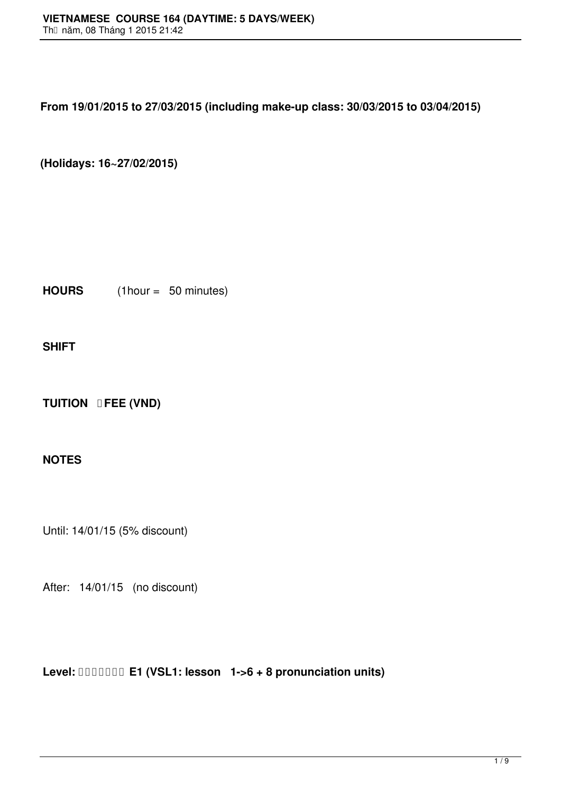**From 19/01/2015 to 27/03/2015 (including make-up class: 30/03/2015 to 03/04/2015)**

**(Holidays: 16~27/02/2015)**

**HOURS** (1hour = 50 minutes)

**SHIFT**

**TUITION <b>DFEE** (VND)

## **NOTES**

Until: 14/01/15 (5% discount)

After: 14/01/15 (no discount)

**Level: E1 (VSL1: lesson 1->6 + 8 pronunciation units)**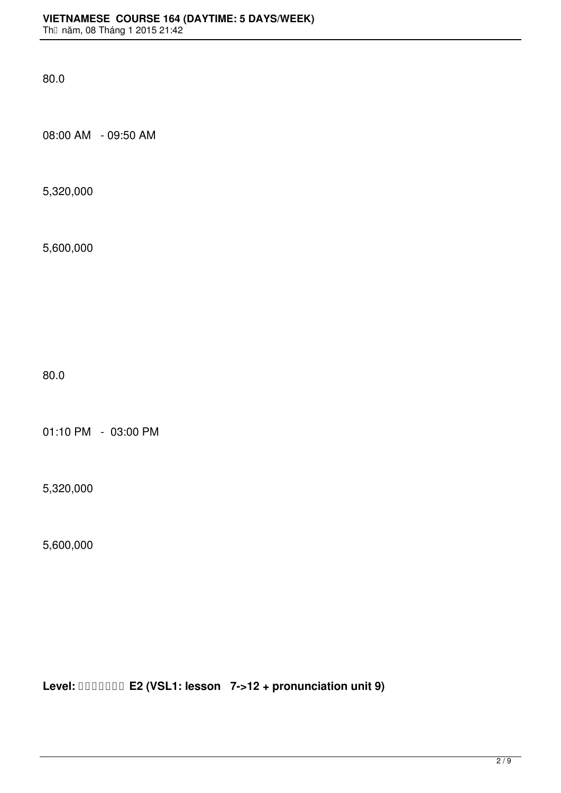80.0

08:00 AM - 09:50 AM

5,320,000

5,600,000

80.0

01:10 PM - 03:00 PM

5,320,000

5,600,000

**Level: E2 (VSL1: lesson 7->12 + pronunciation unit 9)**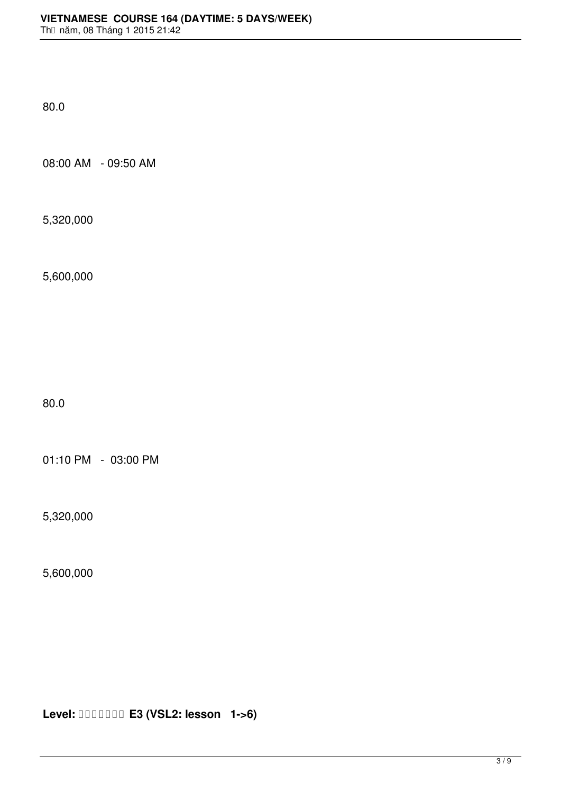80.0

08:00 AM - 09:50 AM

5,320,000

5,600,000

80.0

01:10 PM - 03:00 PM

5,320,000

5,600,000

**Level: E3 (VSL2: lesson 1->6)**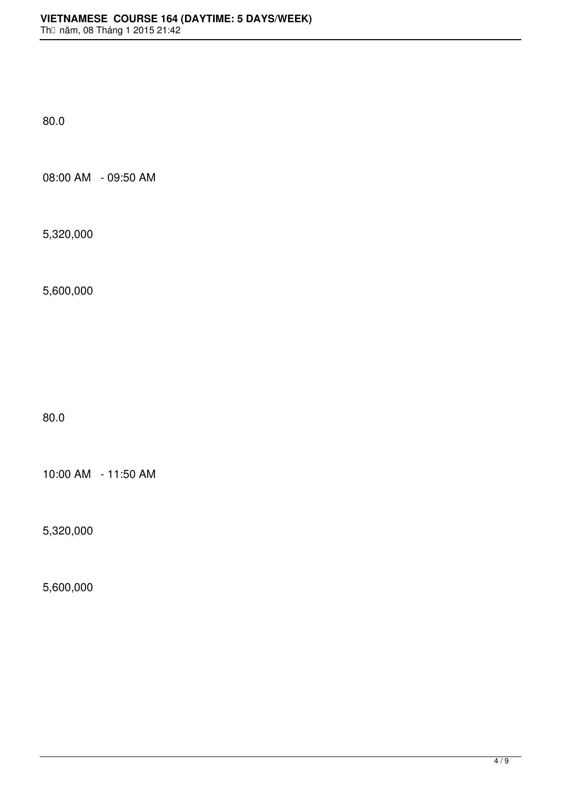80.0

08:00 AM - 09:50 AM

5,320,000

5,600,000

80.0

10:00 AM - 11:50 AM

5,320,000

5,600,000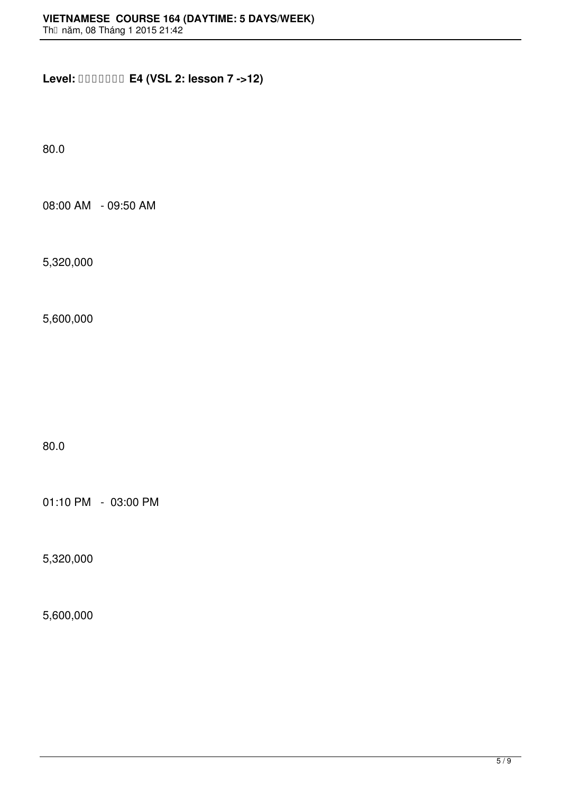**Level: E4 (VSL 2: lesson 7 ->12)**

80.0

08:00 AM - 09:50 AM

5,320,000

5,600,000

80.0

01:10 PM - 03:00 PM

5,320,000

5,600,000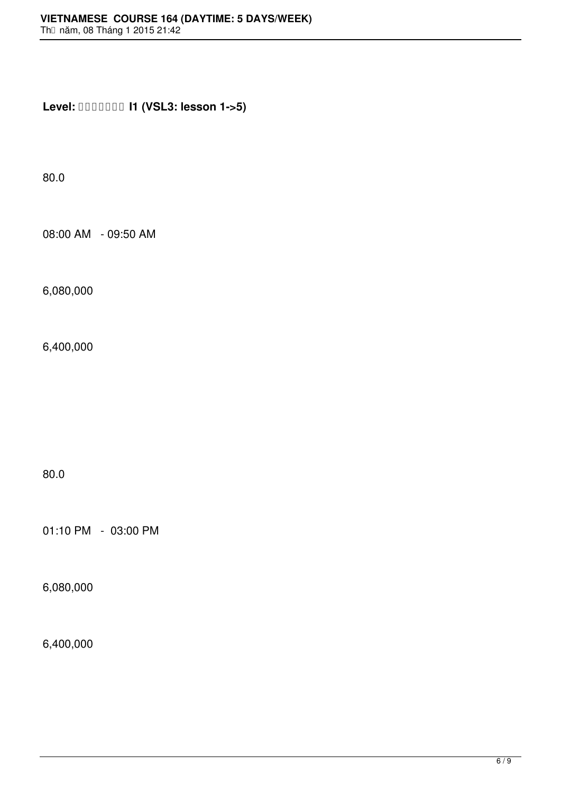**Level: I1 (VSL3: lesson 1->5)**

80.0

08:00 AM - 09:50 AM

6,080,000

6,400,000

80.0

01:10 PM - 03:00 PM

6,080,000

6,400,000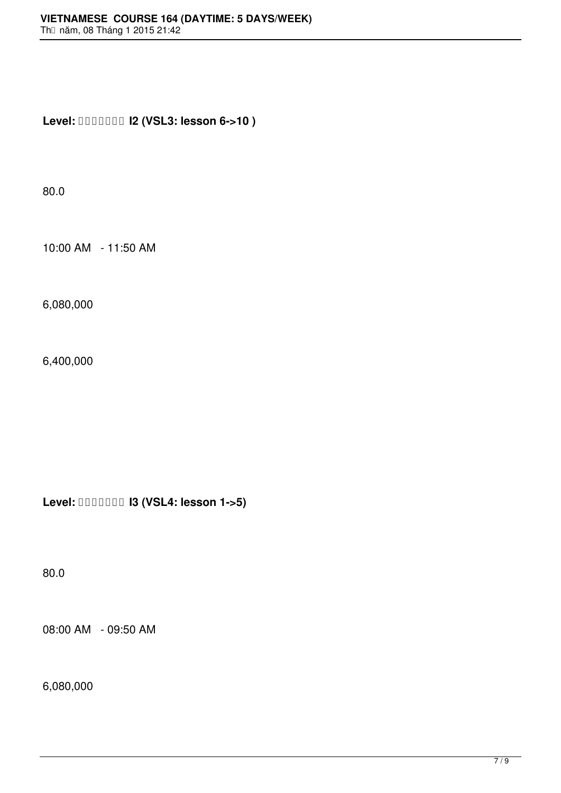**Level: I2 (VSL3: lesson 6->10 )**

80.0

10:00 AM - 11:50 AM

6,080,000

6,400,000

**Level: I3 (VSL4: lesson 1->5)**

80.0

08:00 AM - 09:50 AM

6,080,000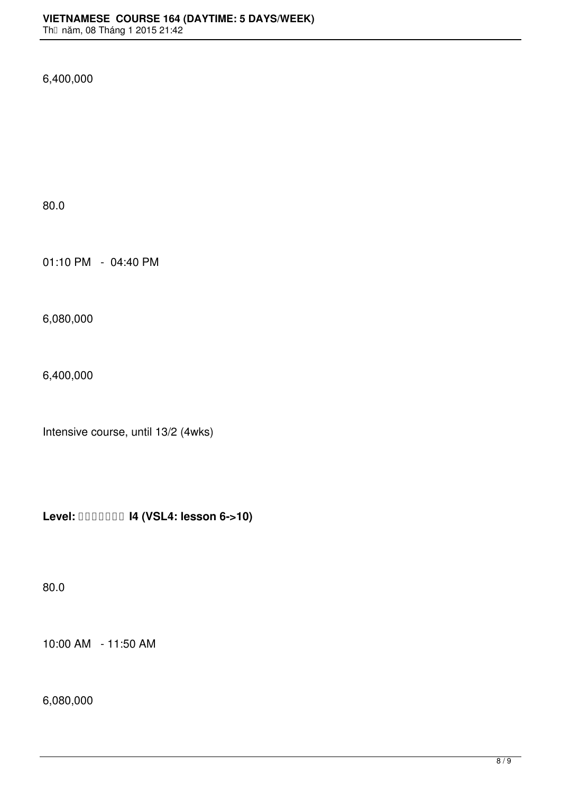6,400,000

80.0

01:10 PM - 04:40 PM

6,080,000

6,400,000

Intensive course, until 13/2 (4wks)

**Level: I4 (VSL4: lesson 6->10)**

80.0

10:00 AM - 11:50 AM

6,080,000